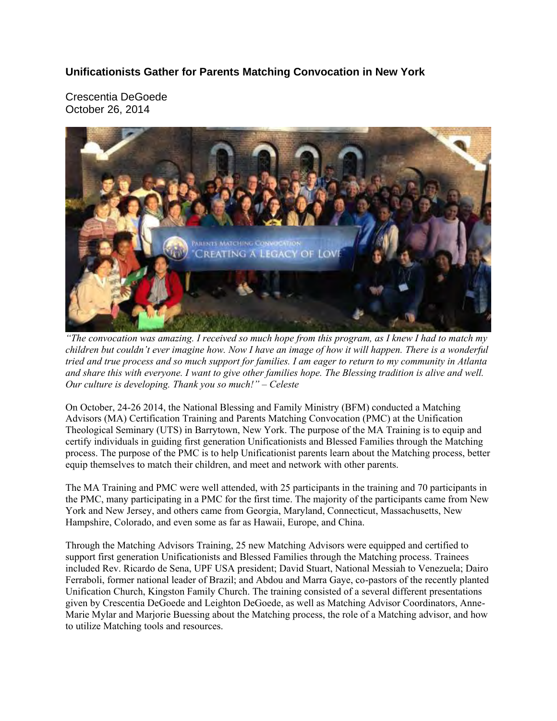## **Unificationists Gather for Parents Matching Convocation in New York**

Crescentia DeGoede October 26, 2014



*"The convocation was amazing. I received so much hope from this program, as I knew I had to match my children but couldn't ever imagine how. Now I have an image of how it will happen. There is a wonderful tried and true process and so much support for families. I am eager to return to my community in Atlanta and share this with everyone. I want to give other families hope. The Blessing tradition is alive and well. Our culture is developing. Thank you so much!" – Celeste* 

On October, 24-26 2014, the National Blessing and Family Ministry (BFM) conducted a Matching Advisors (MA) Certification Training and Parents Matching Convocation (PMC) at the Unification Theological Seminary (UTS) in Barrytown, New York. The purpose of the MA Training is to equip and certify individuals in guiding first generation Unificationists and Blessed Families through the Matching process. The purpose of the PMC is to help Unificationist parents learn about the Matching process, better equip themselves to match their children, and meet and network with other parents.

The MA Training and PMC were well attended, with 25 participants in the training and 70 participants in the PMC, many participating in a PMC for the first time. The majority of the participants came from New York and New Jersey, and others came from Georgia, Maryland, Connecticut, Massachusetts, New Hampshire, Colorado, and even some as far as Hawaii, Europe, and China.

Through the Matching Advisors Training, 25 new Matching Advisors were equipped and certified to support first generation Unificationists and Blessed Families through the Matching process. Trainees included Rev. Ricardo de Sena, UPF USA president; David Stuart, National Messiah to Venezuela; Dairo Ferraboli, former national leader of Brazil; and Abdou and Marra Gaye, co-pastors of the recently planted Unification Church, Kingston Family Church. The training consisted of a several different presentations given by Crescentia DeGoede and Leighton DeGoede, as well as Matching Advisor Coordinators, Anne-Marie Mylar and Marjorie Buessing about the Matching process, the role of a Matching advisor, and how to utilize Matching tools and resources.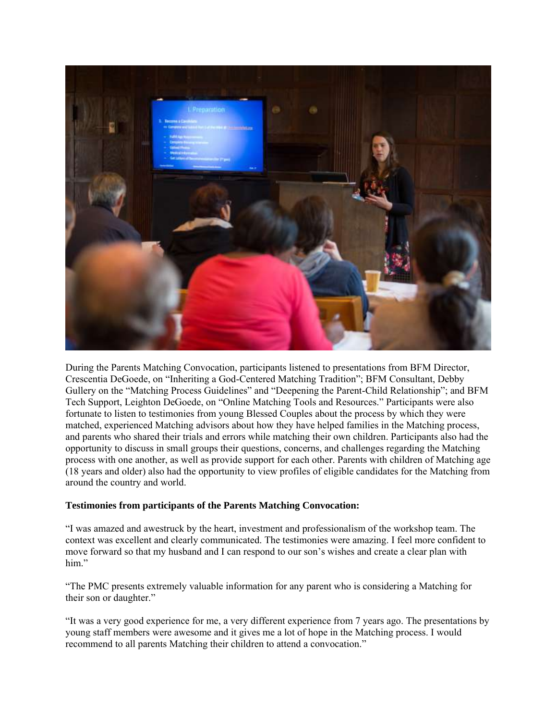

During the Parents Matching Convocation, participants listened to presentations from BFM Director, Crescentia DeGoede, on "Inheriting a God-Centered Matching Tradition"; BFM Consultant, Debby Gullery on the "Matching Process Guidelines" and "Deepening the Parent-Child Relationship"; and BFM Tech Support, Leighton DeGoede, on "Online Matching Tools and Resources." Participants were also fortunate to listen to testimonies from young Blessed Couples about the process by which they were matched, experienced Matching advisors about how they have helped families in the Matching process, and parents who shared their trials and errors while matching their own children. Participants also had the opportunity to discuss in small groups their questions, concerns, and challenges regarding the Matching process with one another, as well as provide support for each other. Parents with children of Matching age (18 years and older) also had the opportunity to view profiles of eligible candidates for the Matching from around the country and world.

## **Testimonies from participants of the Parents Matching Convocation:**

"I was amazed and awestruck by the heart, investment and professionalism of the workshop team. The context was excellent and clearly communicated. The testimonies were amazing. I feel more confident to move forward so that my husband and I can respond to our son's wishes and create a clear plan with him."

"The PMC presents extremely valuable information for any parent who is considering a Matching for their son or daughter."

"It was a very good experience for me, a very different experience from 7 years ago. The presentations by young staff members were awesome and it gives me a lot of hope in the Matching process. I would recommend to all parents Matching their children to attend a convocation."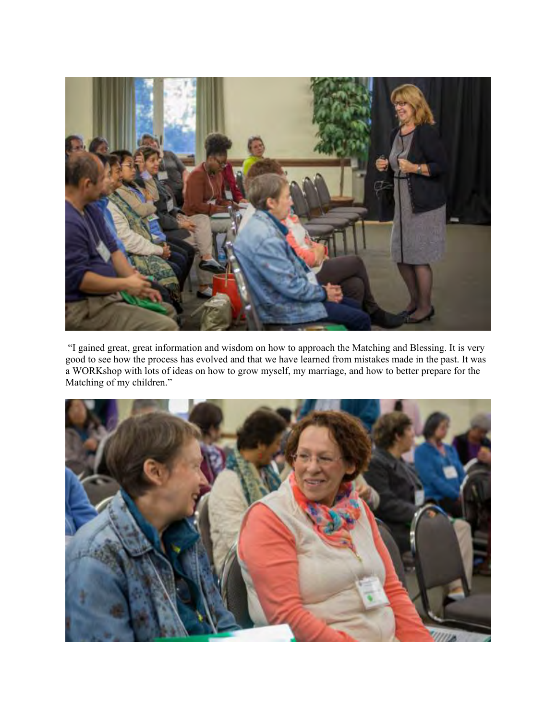

 "I gained great, great information and wisdom on how to approach the Matching and Blessing. It is very good to see how the process has evolved and that we have learned from mistakes made in the past. It was a WORKshop with lots of ideas on how to grow myself, my marriage, and how to better prepare for the Matching of my children."

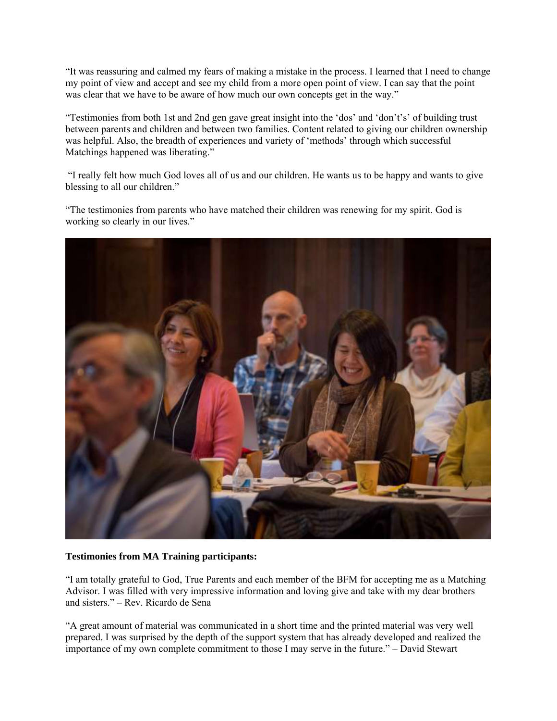"It was reassuring and calmed my fears of making a mistake in the process. I learned that I need to change my point of view and accept and see my child from a more open point of view. I can say that the point was clear that we have to be aware of how much our own concepts get in the way."

"Testimonies from both 1st and 2nd gen gave great insight into the 'dos' and 'don't's' of building trust between parents and children and between two families. Content related to giving our children ownership was helpful. Also, the breadth of experiences and variety of 'methods' through which successful Matchings happened was liberating."

 "I really felt how much God loves all of us and our children. He wants us to be happy and wants to give blessing to all our children."

"The testimonies from parents who have matched their children was renewing for my spirit. God is working so clearly in our lives."



## **Testimonies from MA Training participants:**

"I am totally grateful to God, True Parents and each member of the BFM for accepting me as a Matching Advisor. I was filled with very impressive information and loving give and take with my dear brothers and sisters." – Rev. Ricardo de Sena

"A great amount of material was communicated in a short time and the printed material was very well prepared. I was surprised by the depth of the support system that has already developed and realized the importance of my own complete commitment to those I may serve in the future." – David Stewart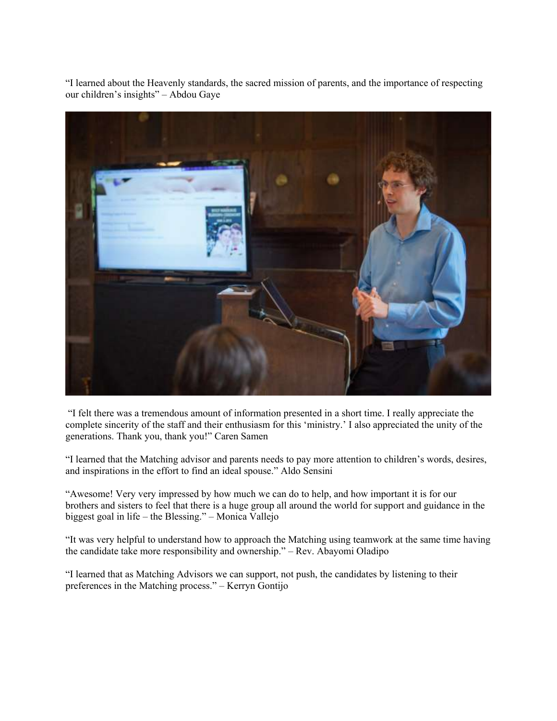"I learned about the Heavenly standards, the sacred mission of parents, and the importance of respecting our children's insights" – Abdou Gaye



 "I felt there was a tremendous amount of information presented in a short time. I really appreciate the complete sincerity of the staff and their enthusiasm for this 'ministry.' I also appreciated the unity of the generations. Thank you, thank you!" Caren Samen

"I learned that the Matching advisor and parents needs to pay more attention to children's words, desires, and inspirations in the effort to find an ideal spouse." Aldo Sensini

"Awesome! Very very impressed by how much we can do to help, and how important it is for our brothers and sisters to feel that there is a huge group all around the world for support and guidance in the biggest goal in life – the Blessing." – Monica Vallejo

"It was very helpful to understand how to approach the Matching using teamwork at the same time having the candidate take more responsibility and ownership." – Rev. Abayomi Oladipo

"I learned that as Matching Advisors we can support, not push, the candidates by listening to their preferences in the Matching process." – Kerryn Gontijo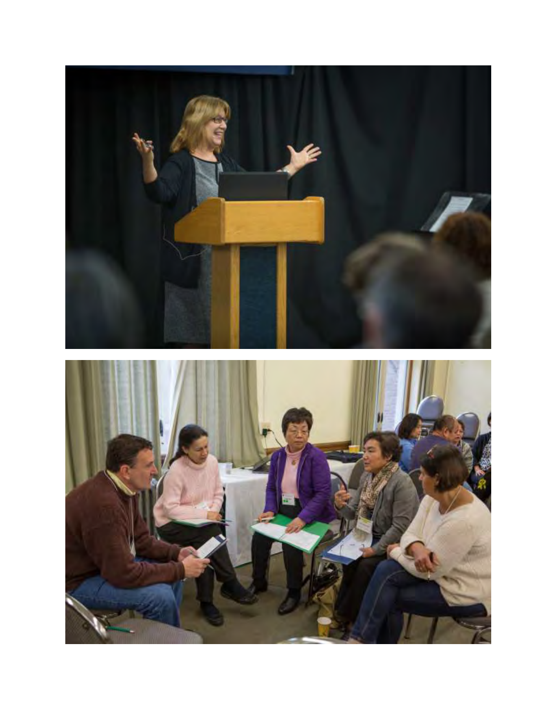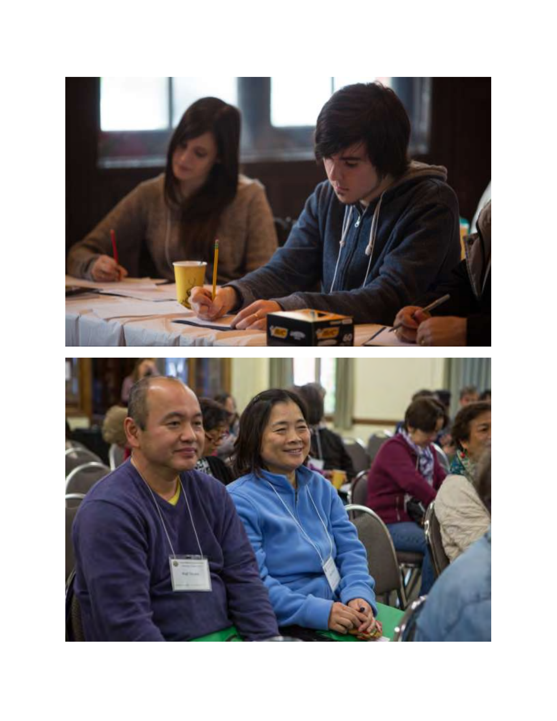